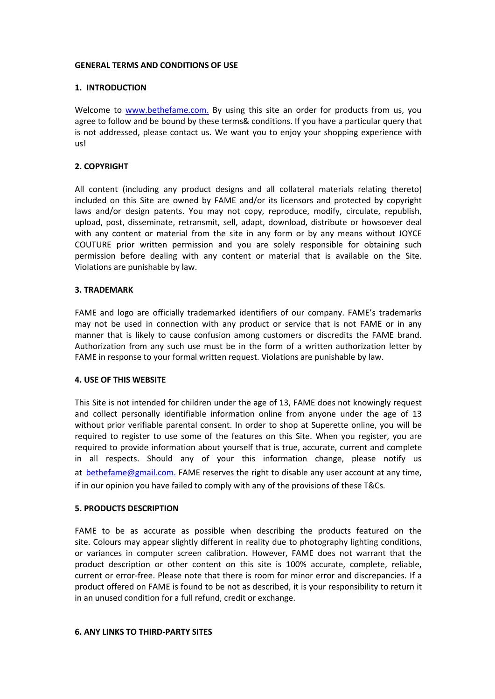## **GENERAL TERMS AND CONDITIONS OF USE**

# **1. INTRODUCTION**

Welcome to [www.bethefame.com.](http://www.bethefame.com) By using this site an order for products from us, you agree to follow and be bound by these terms& conditions. If you have a particular query that is not addressed, please contact us.We want you to enjoy your shopping experience with us!

# **2. COPYRIGHT**

All content (including any product designs and all collateral materials relating thereto) included on this Site are owned by FAME and/or its licensors and protected by copyright laws and/or design patents. You may not copy, reproduce, modify, circulate, republish, upload, post, disseminate, retransmit, sell, adapt, download, distribute or howsoever deal with any content or material from the site in any form or by any means without JOYCE COUTURE prior written permission and you are solely responsible for obtaining such permission before dealing with any content or material that is available on the Site. Violations are punishable by law.

## **3. TRADEMARK**

FAME and logo are officially trademarked identifiers of our company. FAME's trademarks may not be used in connection with any product or service that is not FAME or in any manner that is likely to cause confusion among customers or discredits the FAME brand. Authorization from any such use must be in the form of a written authorization letter by FAME in response to your formal written request. Violations are punishable by law.

## **4. USE OF THIS WEBSITE**

This Site is not intended for children under the age of 13, FAME does not knowingly request and collect personally identifiable information online from anyone under the age of 13 without prior verifiable parental consent. In order to shop at Superette online, you will be required to register to use some of the features on this Site. When you register, you are required to provide information about yourself that is true, accurate, current and complete in all respects. Should any of your this information change, please notify us at [bethefame@gmail.com.](mailto:bethefame@gmail.com) FAME reserves the right to disable any user account at any time, if in our opinion you have failed to comply with any of the provisions of these T&Cs.

## **5. PRODUCTS DESCRIPTION**

FAME to be as accurate as possible when describing the products featured on the site. Colours may appear slightly different in reality due to photography lighting conditions, or variances in computer screen calibration. However, FAME does not warrant that the product description or other content on this site is 100% accurate, complete, reliable, current or error-free. Please note that there is room for minor error and discrepancies. If a product offered on FAME is found to be not as described, it is your responsibility to return it in an unused condition for a full refund, credit or exchange.

#### **6. ANY LINKS TO THIRD-PARTY SITES**